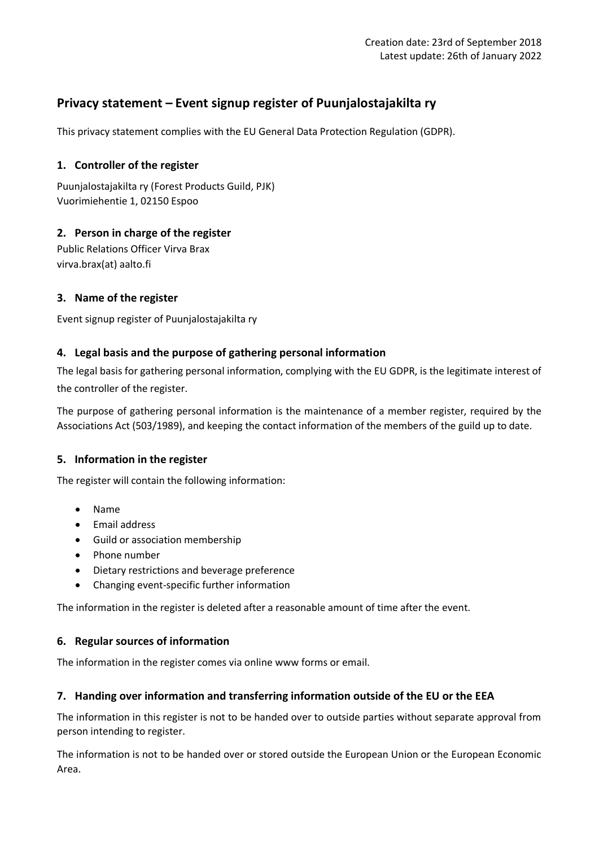# **Privacy statement – Event signup register of Puunjalostajakilta ry**

This privacy statement complies with the EU General Data Protection Regulation (GDPR).

# **1. Controller of the register**

Puunjalostajakilta ry (Forest Products Guild, PJK) Vuorimiehentie 1, 02150 Espoo

# **2. Person in charge of the register**

Public Relations Officer Virva Brax virva.brax(at) aalto.fi

# **3. Name of the register**

Event signup register of Puunjalostajakilta ry

#### **4. Legal basis and the purpose of gathering personal information**

The legal basis for gathering personal information, complying with the EU GDPR, is the legitimate interest of the controller of the register.

The purpose of gathering personal information is the maintenance of a member register, required by the Associations Act (503/1989), and keeping the contact information of the members of the guild up to date.

# **5. Information in the register**

The register will contain the following information:

- Name
- Email address
- Guild or association membership
- Phone number
- Dietary restrictions and beverage preference
- Changing event-specific further information

The information in the register is deleted after a reasonable amount of time after the event.

#### **6. Regular sources of information**

The information in the register comes via online www forms or email.

# **7. Handing over information and transferring information outside of the EU or the EEA**

The information in this register is not to be handed over to outside parties without separate approval from person intending to register.

The information is not to be handed over or stored outside the European Union or the European Economic Area.